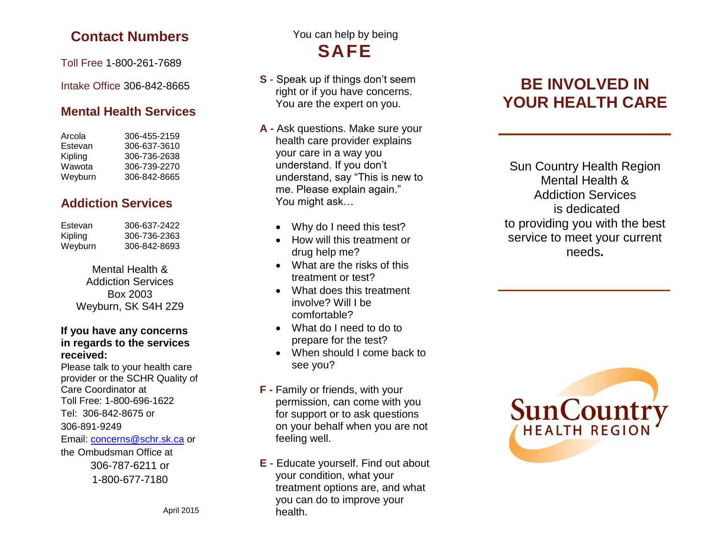### **Contact Numbers**

Toll Free 1 -800 -261 -7689

Intake Office 306 -842 -8665

### **Mental Health Services**

| Arcola  | 306-455-2159 |
|---------|--------------|
| Estevan | 306-637-3610 |
| Kipling | 306-736-2638 |
| Wawota  | 306-739-2270 |
| Weyburn | 306-842-8665 |

### **Addiction Services**

| 306-637-2422 |
|--------------|
| 306-736-2363 |
| 306-842-8693 |
|              |

Mental Health & Addiction Services Box 2003 Weyburn, SK S4H 2Z9

#### **If you have any concerns in regards to the services received:**

Please talk to your health care provider or the SCHR Quality of Care Coordinator at Toll Free: 1 -800 -696 -1622 Tel: 306 -842 -8675 or 306 -891 -9249 Email: *[concerns@schr.sk.ca](mailto:concerns@schr.sk.ca)* or the Ombudsman Office at 306-787-6211 or 1-800-677-7180

## You can help by being **SAFE**

- **S** Speak up if things don't seem right or if you have concerns. You are the expert on you.
- **A -** Ask questions. Make sure your health care provider explains your care in a way you understand. If you don't understand, say "This is new to me. Please explain again." You might ask…
	- Why do I need this test?
	- How will this treatment or drug help me?
	- What are the risks of this treatment or test?
	- What does this treatment involve? Will I be comfortable?
	- What do I need to do to prepare for the test?
	- When should I come back to see you?
- **F -** Family or friends, with your permission, can come with you for support or to ask questions on your behalf when you are not feeling well.
- **E** Educate yourself. Find out about your condition, what your treatment options are, and what you can do to improve your health.

# **BE INVOLVED IN YOUR HEALTH CARE**

Sun Country Health Region Mental Health & Addiction Services is dedicated to providing you with the best service to meet your current needs **.**